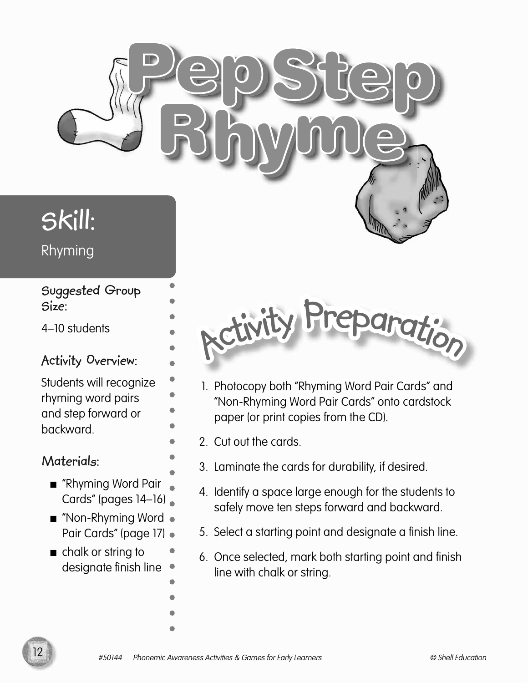

# **Skill:**

Rhyming

#### **Suggested Group Size:**

4–10 students

#### **Activity Overview:**

Students will recognize rhyming word pairs and step forward or backward.

#### **Materials:**

- "Rhyming Word Pair Cards" (pages 14–16)
- "Non-Rhyming Word Pair Cards" (page 17) .
- chalk or string to designate finish line



- 1. Photocopy both "Rhyming Word Pair Cards" and "Non-Rhyming Word Pair Cards" onto cardstock paper (or print copies from the CD).
- 2. Cut out the cards.
	- 3. Laminate the cards for durability, if desired.
	- 4. Identify a space large enough for the students to safely move ten steps forward and backward.
	- 5. Select a starting point and designate a finish line.
	- 6. Once selected, mark both starting point and finish line with chalk or string.

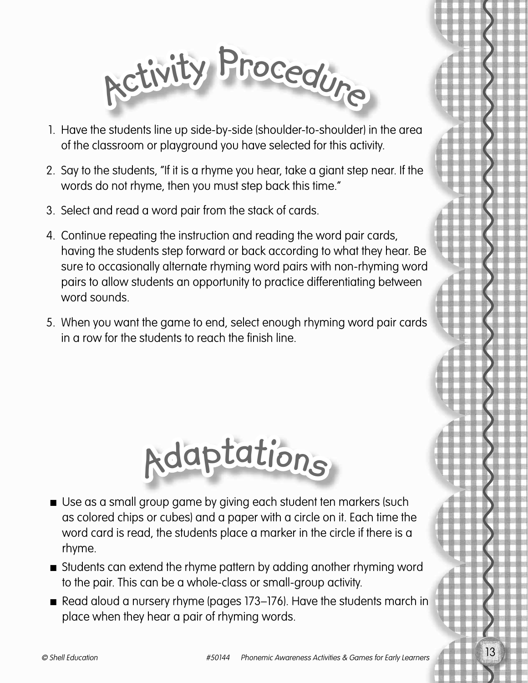

- 1. Have the students line up side-by-side (shoulder-to-shoulder) in the area of the classroom or playground you have selected for this activity.
- 2. Say to the students, "If it is a rhyme you hear, take a giant step near. If the words do not rhyme, then you must step back this time."
- 3. Select and read a word pair from the stack of cards.
- 4. Continue repeating the instruction and reading the word pair cards, having the students step forward or back according to what they hear. Be sure to occasionally alternate rhyming word pairs with non-rhyming word pairs to allow students an opportunity to practice differentiating between word sounds.
- 5. When you want the game to end, select enough rhyming word pair cards in a row for the students to reach the finish line.



- Use as a small group game by giving each student ten markers (such as colored chips or cubes) and a paper with a circle on it. Each time the word card is read, the students place a marker in the circle if there is a rhyme.
- Students can extend the rhyme pattern by adding another rhyming word to the pair. This can be a whole-class or small-group activity.
- Read aloud a nursery rhyme (pages 173–176). Have the students march in place when they hear a pair of rhyming words.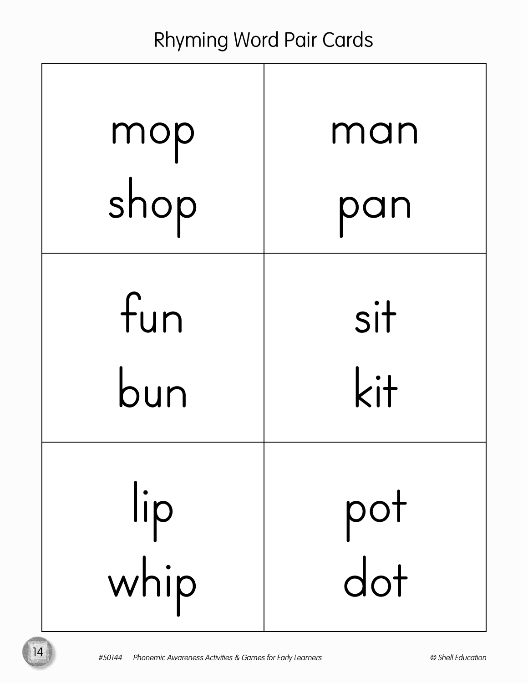## Rhyming Word Pair Cards

| mop  | man |
|------|-----|
| shop | pan |
| fun  | sit |
| bun  | kit |
| lip  | pot |
| whip | dot |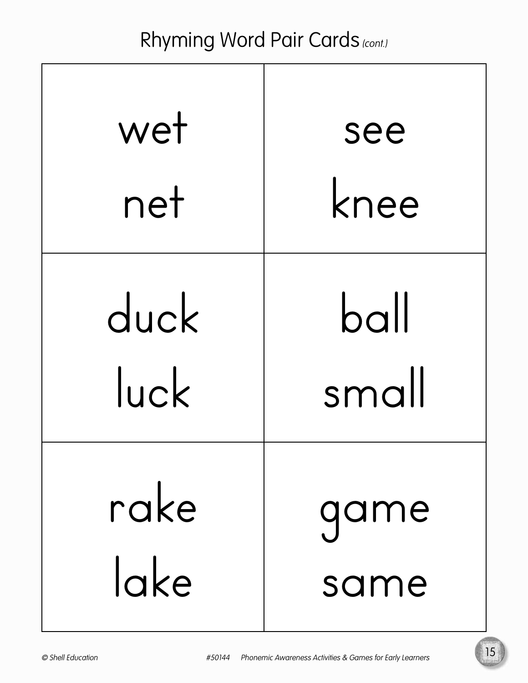## Rhyming Word Pair Cards (cont.)

| wet        | see     |
|------------|---------|
| net        | knee    |
| duck       | $b$ all |
| $ $ uc $k$ | small   |
| rake       | qame    |
| lake       | same    |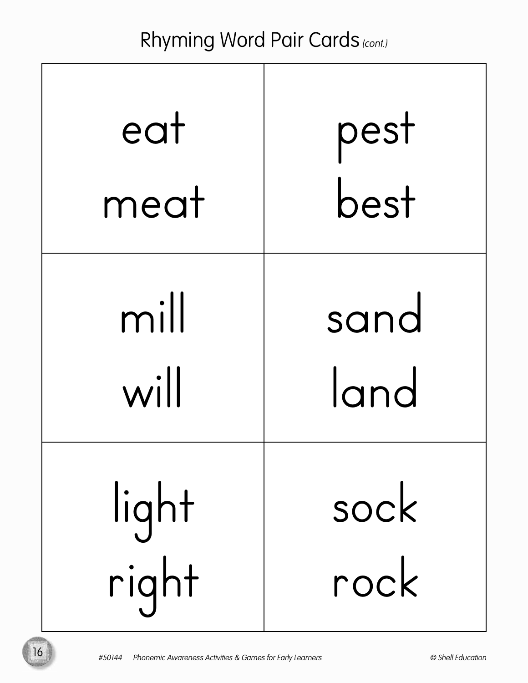## Rhyming Word Pair Cards (cont.)

| eat   | pest |
|-------|------|
| meat  | best |
| mill  | sand |
| will  | land |
| light | sock |
| right | rock |